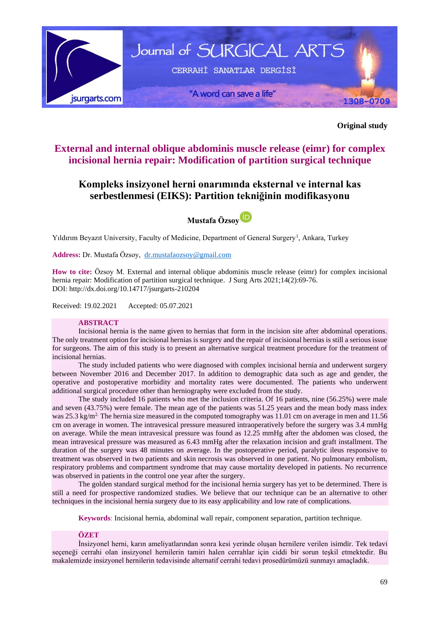

**Original study**

## **External and internal oblique abdominis muscle release (eimr) for complex incisional hernia repair: Modification of partition surgical technique**

# **Kompleks insizyonel herni onarımında eksternal ve internal kas serbestlenmesi (EIKS): Partition tekniğinin modifikasyonu**

**Mustafa Özso[y](https://orcid.org/0000-0002-7466-7743)**

Yıldırım Beyazıt University, Faculty of Medicine, Department of General Surgery<sup>1</sup>, Ankara, Turkey

**Address:** Dr. Mustafa Özsoy, [dr.mustafaozsoy@gmail.com](mailto:dr.mustafaozsoy@gmail.com)

**How to cite:** Özsoy M. External and internal oblique abdominis muscle release (eimr) for complex incisional hernia repair: Modification of partition surgical technique. J Surg Arts 2021;14(2):69-76. DOI:<http://dx.doi.org/10.14717/jsurgarts-210204>

Received: 19.02.2021 Accepted: 05.07.2021

#### **ABSTRACT**

Incisional hernia is the name given to hernias that form in the incision site after abdominal operations. The only treatment option for incisional hernias is surgery and the repair of incisional hernias is still a serious issue for surgeons. The aim of this study is to present an alternative surgical treatment procedure for the treatment of incisional hernias.

The study included patients who were diagnosed with complex incisional hernia and underwent surgery between November 2016 and December 2017. In addition to demographic data such as age and gender, the operative and postoperative morbidity and mortality rates were documented. The patients who underwent additional surgical procedure other than herniography were excluded from the study.

The study included 16 patients who met the inclusion criteria. Of 16 patients, nine (56.25%) were male and seven (43.75%) were female. The mean age of the patients was 51.25 years and the mean body mass index was 25.3 kg/m<sup>2</sup>. The hernia size measured in the computed tomography was 11.01 cm on average in men and 11.56 cm on average in women. The intravesical pressure measured intraoperatively before the surgery was 3.4 mmHg on average. While the mean intravesical pressure was found as 12.25 mmHg after the abdomen was closed, the mean intravesical pressure was measured as 6.43 mmHg after the relaxation incision and graft installment. The duration of the surgery was 48 minutes on average. In the postoperative period, paralytic ileus responsive to treatment was observed in two patients and skin necrosis was observed in one patient. No pulmonary embolism, respiratory problems and compartment syndrome that may cause mortality developed in patients. No recurrence was observed in patients in the control one year after the surgery.

The golden standard surgical method for the incisional hernia surgery has yet to be determined. There is still a need for prospective randomized studies. We believe that our technique can be an alternative to other techniques in the incisional hernia surgery due to its easy applicability and low rate of complications.

**Keywords**: Incisional hernia, abdominal wall repair, component separation, partition technique.

#### **ÖZET**

İnsizyonel herni, karın ameliyatlarından sonra kesi yerinde oluşan hernilere verilen isimdir. Tek tedavi seçeneği cerrahi olan insizyonel hernilerin tamiri halen cerrahlar için ciddi bir sorun teşkil etmektedir. Bu makalemizde insizyonel hernilerin tedavisinde alternatif cerrahi tedavi prosedürümüzü sunmayı amaçladık.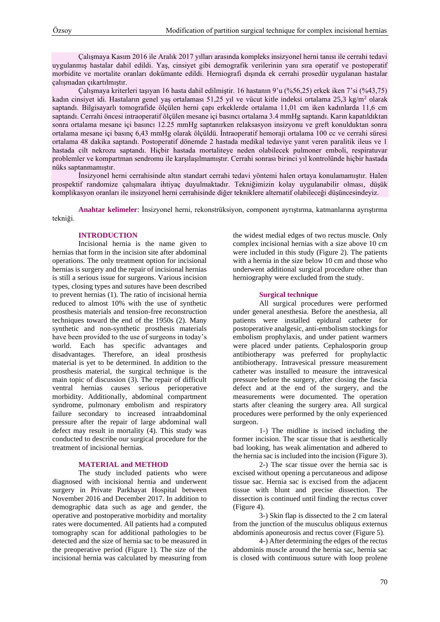Çalışmaya Kasım 2016 ile Aralık 2017 yılları arasında kompleks insizyonel herni tanısı ile cerrahi tedavi uygulanmış hastalar dahil edildi. Yaş, cinsiyet gibi demografik verilerinin yanı sıra operatif ve postoperatif morbidite ve mortalite oranları dokümante edildi. Herniografi dışında ek cerrahi prosedür uygulanan hastalar çalışmadan çıkartılmıştır.

Çalışmaya kriterleri taşıyan 16 hasta dahil edilmiştir. 16 hastanın 9'u (%56,25) erkek iken 7'si (%43,75) kadın cinsiyet idi. Hastaların genel yaş ortalaması 51,25 yıl ve vücut kitle indeksi ortalama 25,3 kg/m<sup>2</sup> olarak saptandı. Bilgisayarlı tomografide ölçülen herni çapı erkeklerde ortalama 11,01 cm iken kadınlarda 11,6 cm saptandı. Cerrahi öncesi intraoperatif ölçülen mesane içi basıncı ortalama 3.4 mmHg saptandı. Karın kapatıldıktan sonra ortalama mesane içi basıncı 12.25 mmHg saptanırken relaksasyon insizyonu ve greft konulduktan sonra ortalama mesane içi basınç 6,43 mmHg olarak ölçüldü. İntraoperatif hemoraji ortalama 100 cc ve cerrahi süresi ortalama 48 dakika saptandı. Postoperatif dönemde 2 hastada medikal tedaviye yanıt veren paralitik ileus ve 1 hastada cilt nekrozu saptandı. Hiçbir hastada mortaliteye neden olabilecek pulmoner emboli, respiratuvar problemler ve kompartman sendromu ile karşılaşılmamıştır. Cerrahi sonrası birinci yıl kontrolünde hiçbir hastada nüks saptanmamıştır.

İnsizyonel herni cerrahisinde altın standart cerrahi tedavi yöntemi halen ortaya konulamamıştır. Halen prospektif randomize çalışmalara ihtiyaç duyulmaktadır. Tekniğimizin kolay uygulanabilir olması, düşük komplikasyon oranları ile insizyonel herni cerrahisinde diğer tekniklere alternatif olabileceği düşüncesindeyiz.

**Anahtar kelimeler**: İnsizyonel herni, rekonstrüksiyon, component ayrıştırma, katmanlarına ayrıştırma tekniği.

#### **INTRODUCTION**

Incisional hernia is the name given to hernias that form in the incision site after abdominal operations. The only treatment option for incisional hernias is surgery and the repair of incisional hernias is still a serious issue for surgeons. Various incision types, closing types and sutures have been described to prevent hernias (1). The ratio of incisional hernia reduced to almost 10% with the use of synthetic prosthesis materials and tension-free reconstruction techniques toward the end of the 1950s (2). Many synthetic and non-synthetic prosthesis materials have been provided to the use of surgeons in today's world. Each has specific advantages and disadvantages. Therefore, an ideal prosthesis material is yet to be determined. In addition to the prosthesis material, the surgical technique is the main topic of discussion (3). The repair of difficult ventral hernias causes serious perioperative morbidity. Additionally, abdominal compartment syndrome, pulmonary embolism and respiratory failure secondary to increased intraabdominal pressure after the repair of large abdominal wall defect may result in mortality (4). This study was conducted to describe our surgical procedure for the treatment of incisional hernias.

#### **MATERIAL and METHOD**

The study included patients who were diagnosed with incisional hernia and underwent surgery in Private Parkhayat Hospital between November 2016 and December 2017. In addition to demographic data such as age and gender, the operative and postoperative morbidity and mortality rates were documented. All patients had a computed tomography scan for additional pathologies to be detected and the size of hernia sac to be measured in the preoperative period (Figure 1). The size of the incisional hernia was calculated by measuring from the widest medial edges of two rectus muscle. Only complex incisional hernias with a size above 10 cm were included in this study (Figure 2). The patients with a hernia in the size below 10 cm and those who underwent additional surgical procedure other than herniography were excluded from the study.

#### **Surgical technique**

All surgical procedures were performed under general anesthesia. Before the anesthesia, all patients were installed epidural catheter for postoperative analgesic, anti-embolism stockings for embolism prophylaxis, and under patient warmers were placed under patients. Cephalosporin group antibiotherapy was preferred for prophylactic antibiotherapy. Intravesical pressure measurement catheter was installed to measure the intravesical pressure before the surgery, after closing the fascia defect and at the end of the surgery, and the measurements were documented. The operation starts after cleaning the surgery area. All surgical procedures were performed by the only experienced surgeon.

1-) The midline is incised including the former incision. The scar tissue that is aesthetically bad looking, has weak alimentation and adhered to the hernia sac is included into the incision (Figure 3).

2-) The scar tissue over the hernia sac is excised without opening a percutaneous and adipose tissue sac. Hernia sac is excised from the adjacent tissue with blunt and precise dissection. The dissection is continued until finding the rectus cover (Figure 4).

3-) Skin flap is dissected to the 2 cm lateral from the junction of the musculus obliquus externus abdominis aponeurosis and rectus cover (Figure 5).

4-) After determining the edges of the rectus abdominis muscle around the hernia sac, hernia sac is closed with continuous suture with loop prolene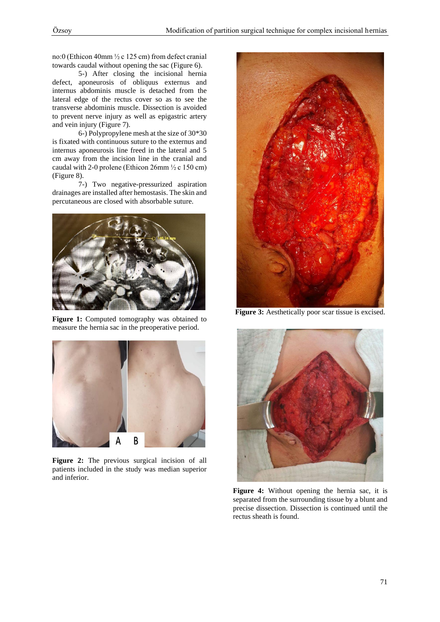no:0 (Ethicon 40mm ½ c 125 cm) from defect cranial towards caudal without opening the sac (Figure 6).

5-) After closing the incisional hernia defect, aponeurosis of obliquus externus and internus abdominis muscle is detached from the lateral edge of the rectus cover so as to see the transverse abdominis muscle. Dissection is avoided to prevent nerve injury as well as epigastric artery and vein injury (Figure 7).

6-) Polypropylene mesh at the size of 30\*30 is fixated with continuous suture to the externus and internus aponeurosis line freed in the lateral and 5 cm away from the incision line in the cranial and caudal with 2-0 prolene (Ethicon 26mm  $\frac{1}{2}$  c 150 cm) (Figure 8).

7-) Two negative-pressurized aspiration drainages are installed after hemostasis. The skin and percutaneous are closed with absorbable suture.



Figure 1: Computed tomography was obtained to measure the hernia sac in the preoperative period.



**Figure 2:** The previous surgical incision of all patients included in the study was median superior and inferior.



Figure 3: Aesthetically poor scar tissue is excised.



**Figure 4:** Without opening the hernia sac, it is separated from the surrounding tissue by a blunt and precise dissection. Dissection is continued until the rectus sheath is found.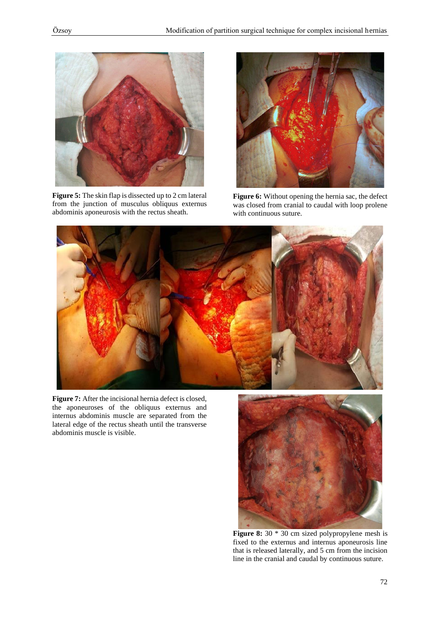

**Figure 5:** The skin flap is dissected up to 2 cm lateral from the junction of musculus obliquus externus abdominis aponeurosis with the rectus sheath.



**Figure 6:** Without opening the hernia sac, the defect was closed from cranial to caudal with loop prolene with continuous suture.



**Figure 7:** After the incisional hernia defect is closed, the aponeuroses of the obliquus externus and internus abdominis muscle are separated from the lateral edge of the rectus sheath until the transverse abdominis muscle is visible.



Figure 8: 30  $*$  30 cm sized polypropylene mesh is fixed to the externus and internus aponeurosis line that is released laterally, and 5 cm from the incision line in the cranial and caudal by continuous suture.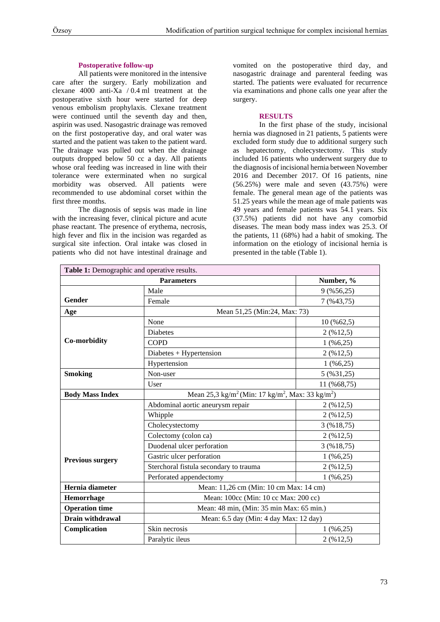### **Postoperative follow-up**

All patients were monitored in the intensive care after the surgery. Early mobilization and clexane 4000 anti-Xa / 0.4 ml treatment at the postoperative sixth hour were started for deep venous embolism prophylaxis. Clexane treatment were continued until the seventh day and then, aspirin was used. Nasogastric drainage was removed on the first postoperative day, and oral water was started and the patient was taken to the patient ward. The drainage was pulled out when the drainage outputs dropped below 50 cc a day. All patients whose oral feeding was increased in line with their tolerance were exterminated when no surgical morbidity was observed. All patients were recommended to use abdominal corset within the first three months.

The diagnosis of sepsis was made in line with the increasing fever, clinical picture and acute phase reactant. The presence of erythema, necrosis, high fever and flix in the incision was regarded as surgical site infection. Oral intake was closed in patients who did not have intestinal drainage and

vomited on the postoperative third day, and nasogastric drainage and parenteral feeding was started. The patients were evaluated for recurrence via examinations and phone calls one year after the surgery.

### **RESULTS**

In the first phase of the study, incisional hernia was diagnosed in 21 patients, 5 patients were excluded form study due to additional surgery such as hepatectomy, cholecystectomy. This study included 16 patients who underwent surgery due to the diagnosis of incisional hernia between November 2016 and December 2017. Of 16 patients, nine  $(56.25%)$  were male and seven  $(43.75%)$  were female. The general mean age of the patients was 51.25 years while the mean age of male patients was 49 years and female patients was 54.1 years. Six (37.5%) patients did not have any comorbid diseases. The mean body mass index was 25.3. Of the patients, 11 (68%) had a habit of smoking. The information on the etiology of incisional hernia is presented in the table (Table 1).

| Table 1: Demographic and operative results. |                                                                                      |                                          |  |  |
|---------------------------------------------|--------------------------------------------------------------------------------------|------------------------------------------|--|--|
| <b>Parameters</b>                           |                                                                                      | Number, %                                |  |  |
|                                             | Male                                                                                 | $9($ %56,25)                             |  |  |
| Gender                                      | Female                                                                               | $7($ %43,75)                             |  |  |
| Age                                         | Mean 51,25 (Min:24, Max: 73)                                                         |                                          |  |  |
| Co-morbidity                                | None                                                                                 | $10\,(%62,5)$                            |  |  |
|                                             | <b>Diabetes</b>                                                                      | $2($ %12,5)                              |  |  |
|                                             | <b>COPD</b>                                                                          | $1($ %6,25)                              |  |  |
|                                             | $Diabetes + Hypertension$                                                            | $2($ %12,5)                              |  |  |
|                                             | Hypertension                                                                         | $1($ %6,25)                              |  |  |
| <b>Smoking</b>                              | Non-user                                                                             | 5 (%31,25)                               |  |  |
|                                             | User                                                                                 | 11 (%68,75)                              |  |  |
| <b>Body Mass Index</b>                      | Mean 25,3 kg/m <sup>2</sup> (Min: 17 kg/m <sup>2</sup> , Max: 33 kg/m <sup>2</sup> ) |                                          |  |  |
|                                             | Abdominal aortic aneurysm repair                                                     | $2($ %12,5)                              |  |  |
|                                             | Whipple                                                                              | $2($ %12,5)                              |  |  |
|                                             | Cholecystectomy                                                                      | $3($ %18,75)                             |  |  |
|                                             | Colectomy (colon ca)                                                                 | $2($ %12,5)                              |  |  |
| <b>Previous surgery</b>                     | Duodenal ulcer perforation                                                           | $3($ % $18,75)$                          |  |  |
|                                             | Gastric ulcer perforation                                                            | $1($ %6,25)                              |  |  |
|                                             | Sterchoral fistula secondary to trauma                                               | 2 (%12,5)                                |  |  |
|                                             | Perforated appendectomy                                                              | $1($ %6,25)                              |  |  |
| Hernia diameter                             | Mean: 11,26 cm (Min: 10 cm Max: 14 cm)                                               |                                          |  |  |
| Hemorrhage                                  |                                                                                      | Mean: 100cc (Min: 10 cc Max: 200 cc)     |  |  |
| <b>Operation time</b>                       |                                                                                      | Mean: 48 min, (Min: 35 min Max: 65 min.) |  |  |
| Drain withdrawal                            | Mean: 6.5 day (Min: 4 day Max: 12 day)                                               |                                          |  |  |
| Complication                                | Skin necrosis                                                                        | $1($ %6,25)                              |  |  |
|                                             | Paralytic ileus                                                                      | $2($ %12,5)                              |  |  |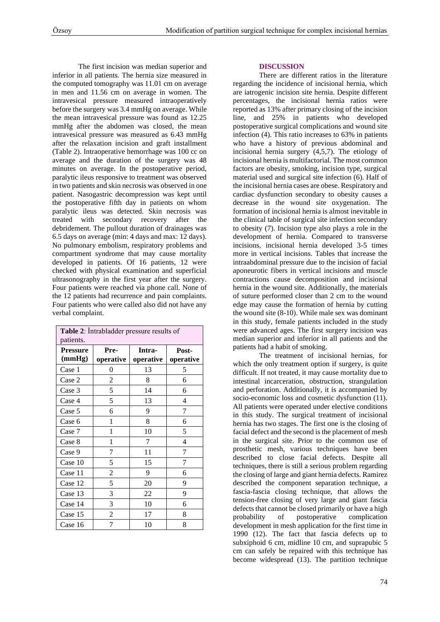The first incision was median superior and inferior in all patients. The hernia size measured in the computed tomography was 11.01 cm on average in men and 11.56 cm on average in women. The intravesical pressure measured intraoperatively before the surgery was 3.4 mmHg on average. While the mean intravesical pressure was found as 12.25 mmHg after the abdomen was closed, the mean intravesical pressure was measured as 6.43 mmHg after the relaxation incision and graft installment (Table 2). Intraoperative hemorrhage was 100 cc on average and the duration of the surgery was 48 minutes on average. In the postoperative period, paralytic ileus responsive to treatment was observed in two patients and skin necrosis was observed in one patient. Nasogastric decompression was kept until the postoperative fifth day in patients on whom paralytic ileus was detected. Skin necrosis was treated with secondary recovery after the debridement. The pullout duration of drainages was 6.5 days on average (min: 4 days and max: 12 days). No pulmonary embolism, respiratory problems and compartment syndrome that may cause mortality developed in patients. Of 16 patients, 12 were checked with physical examination and superficial ultrasonography in the first year after the surgery. Four patients were reached via phone call. None of the 12 patients had recurrence and pain complaints. Four patients who were called also did not have any verbal complaint.

| Table 2: Intrabladder pressure results of<br>patients. |                   |                     |                    |  |
|--------------------------------------------------------|-------------------|---------------------|--------------------|--|
| <b>Pressure</b><br>(mmHg)                              | Pre-<br>operative | Intra-<br>operative | Post-<br>operative |  |
| Case 1                                                 | 0                 | 13                  | 5                  |  |
| Case 2                                                 | 2                 | 8                   | 6                  |  |
| Case 3                                                 | 5                 | 14                  | 6                  |  |
| Case 4                                                 | 5                 | 13                  | 4                  |  |
| Case 5                                                 | 6                 | 9                   | 7                  |  |
| Case 6                                                 | 1                 | 8                   | 6                  |  |
| Case 7                                                 | 1                 | 10                  | 5                  |  |
| Case 8                                                 | 1                 | 7                   | $\overline{4}$     |  |
| Case 9                                                 | 7                 | 11                  | 7                  |  |
| Case 10                                                | 5                 | 15                  | 7                  |  |
| Case 11                                                | 2                 | 9                   | 6                  |  |
| Case 12                                                | 5                 | 20                  | 9                  |  |
| Case 13                                                | 3                 | 22                  | 9                  |  |
| Case 14                                                | 3                 | 10                  | 6                  |  |
| Case 15                                                | $\overline{c}$    | 17                  | 8                  |  |
| Case 16                                                | 7                 | 10                  | 8                  |  |

## **DISCUSSION**

There are different ratios in the literature regarding the incidence of incisional hernia, which are iatrogenic incision site hernia. Despite different percentages, the incisional hernia ratios were reported as 13% after primary closing of the incision line, and 25% in patients who developed postoperative surgical complications and wound site infection (4). This ratio increases to 63% in patients who have a history of previous abdominal and incisional hernia surgery (4,5,7). The etiology of incisional hernia is multifactorial. The most common factors are obesity, smoking, incision type, surgical material used and surgical site infection (6). Half of the incisional hernia cases are obese. Respiratory and cardiac dysfunction secondary to obesity causes a decrease in the wound site oxygenation. The formation of incisional hernia is almost inevitable in the clinical table of surgical site infection secondary to obesity (7). Incision type also plays a role in the development of hernia. Compared to transverse incisions, incisional hernia developed 3-5 times more in vertical incisions. Tables that increase the intraabdominal pressure due to the incision of facial aponeurotic fibers in vertical incisions and muscle contractions cause decomposition and incisional hernia in the wound site. Additionally, the materials of suture performed closer than 2 cm to the wound edge may cause the formation of hernia by cutting the wound site (8-10). While male sex was dominant in this study, female patients included in the study were advanced ages. The first surgery incision was median superior and inferior in all patients and the patients had a habit of smoking.

The treatment of incisional hernias, for which the only treatment option if surgery, is quite difficult. If not treated, it may cause mortality due to intestinal incarceration, obstruction, strangulation and perforation. Additionally, it is accompanied by socio-economic loss and cosmetic dysfunction (11). All patients were operated under elective conditions in this study. The surgical treatment of incisional hernia has two stages. The first one is the closing of facial defect and the second is the placement of mesh in the surgical site. Prior to the common use of prosthetic mesh, various techniques have been described to close facial defects. Despite all techniques, there is still a serious problem regarding the closing of large and giant hernia defects. Ramirez described the component separation technique, a fascia-fascia closing technique, that allows the tension-free closing of very large and giant fascia defects that cannot be closed primarily or have a high probability of postoperative complication development in mesh application for the first time in 1990 (12). The fact that fascia defects up to subxiphoid 6 cm, midline 10 cm, and suprapubic 5 cm can safely be repaired with this technique has become widespread (13). The partition technique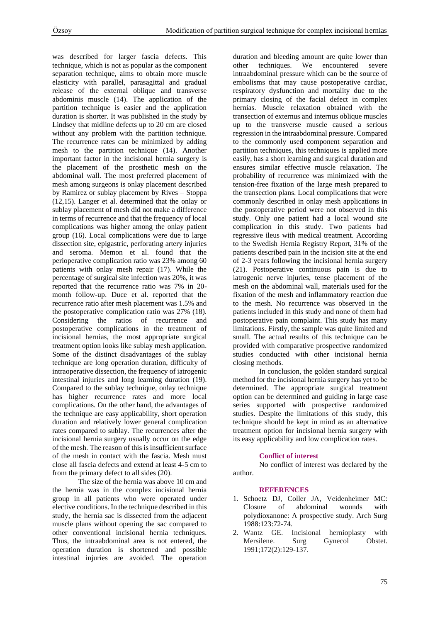was described for larger fascia defects. This technique, which is not as popular as the component separation technique, aims to obtain more muscle elasticity with parallel, parasagittal and gradual release of the external oblique and transverse abdominis muscle (14). The application of the partition technique is easier and the application duration is shorter. It was published in the study by Lindsey that midline defects up to 20 cm are closed without any problem with the partition technique. The recurrence rates can be minimized by adding mesh to the partition technique (14). Another important factor in the incisional hernia surgery is the placement of the prosthetic mesh on the abdominal wall. The most preferred placement of mesh among surgeons is onlay placement described by Ramirez or sublay placement by Rives – Stoppa (12,15). Langer et al. determined that the onlay or sublay placement of mesh did not make a difference in terms of recurrence and that the frequency of local complications was higher among the onlay patient group (16). Local complications were due to large dissection site, epigastric, perforating artery injuries and seroma. Memon et al. found that the perioperative complication ratio was 23% among 60 patients with onlay mesh repair (17). While the percentage of surgical site infection was 20%, it was reported that the recurrence ratio was 7% in 20 month follow-up. Duce et al. reported that the recurrence ratio after mesh placement was 1.5% and the postoperative complication ratio was 27% (18). Considering the ratios of recurrence and postoperative complications in the treatment of incisional hernias, the most appropriate surgical treatment option looks like sublay mesh application. Some of the distinct disadvantages of the sublay technique are long operation duration, difficulty of intraoperative dissection, the frequency of iatrogenic intestinal injuries and long learning duration (19). Compared to the sublay technique, onlay technique has higher recurrence rates and more local complications. On the other hand, the advantages of the technique are easy applicability, short operation duration and relatively lower general complication rates compared to sublay. The recurrences after the incisional hernia surgery usually occur on the edge of the mesh. The reason of this is insufficient surface of the mesh in contact with the fascia. Mesh must close all fascia defects and extend at least 4-5 cm to from the primary defect to all sides (20).

The size of the hernia was above 10 cm and the hernia was in the complex incisional hernia group in all patients who were operated under elective conditions. In the technique described in this study, the hernia sac is dissected from the adjacent muscle plans without opening the sac compared to other conventional incisional hernia techniques. Thus, the intraabdominal area is not entered, the operation duration is shortened and possible intestinal injuries are avoided. The operation

duration and bleeding amount are quite lower than other techniques. We encountered severe intraabdominal pressure which can be the source of embolisms that may cause postoperative cardiac, respiratory dysfunction and mortality due to the primary closing of the facial defect in complex hernias. Muscle relaxation obtained with the transection of externus and internus oblique muscles up to the transverse muscle caused a serious regression in the intraabdominal pressure. Compared to the commonly used component separation and partition techniques, this techniques is applied more easily, has a short learning and surgical duration and ensures similar effective muscle relaxation. The probability of recurrence was minimized with the tension-free fixation of the large mesh prepared to the transection plans. Local complications that were commonly described in onlay mesh applications in the postoperative period were not observed in this study. Only one patient had a local wound site complication in this study. Two patients had regressive ileus with medical treatment. According to the Swedish Hernia Registry Report, 31% of the patients described pain in the incision site at the end of 2-3 years following the incisional hernia surgery (21). Postoperative continuous pain is due to iatrogenic nerve injuries, tense placement of the mesh on the abdominal wall, materials used for the fixation of the mesh and inflammatory reaction due to the mesh. No recurrence was observed in the patients included in this study and none of them had postoperative pain complaint. This study has many limitations. Firstly, the sample was quite limited and small. The actual results of this technique can be provided with comparative prospective randomized studies conducted with other incisional hernia closing methods.

In conclusion, the golden standard surgical method for the incisional hernia surgery has yet to be determined. The appropriate surgical treatment option can be determined and guiding in large case series supported with prospective randomized studies. Despite the limitations of this study, this technique should be kept in mind as an alternative treatment option for incisional hernia surgery with its easy applicability and low complication rates.

#### **Conflict of interest**

No conflict of interest was declared by the author.

#### **REFERENCES**

- 1. Schoetz DJ, Coller JA, Veidenheimer MC: Closure of abdominal wounds with polydioxanone: A prospective study. Arch Surg 1988:123:72-74.
- 2. Wantz GE. Incisional hernioplasty with Mersilene. Surg Gynecol Obstet. 1991;172(2):129-137.